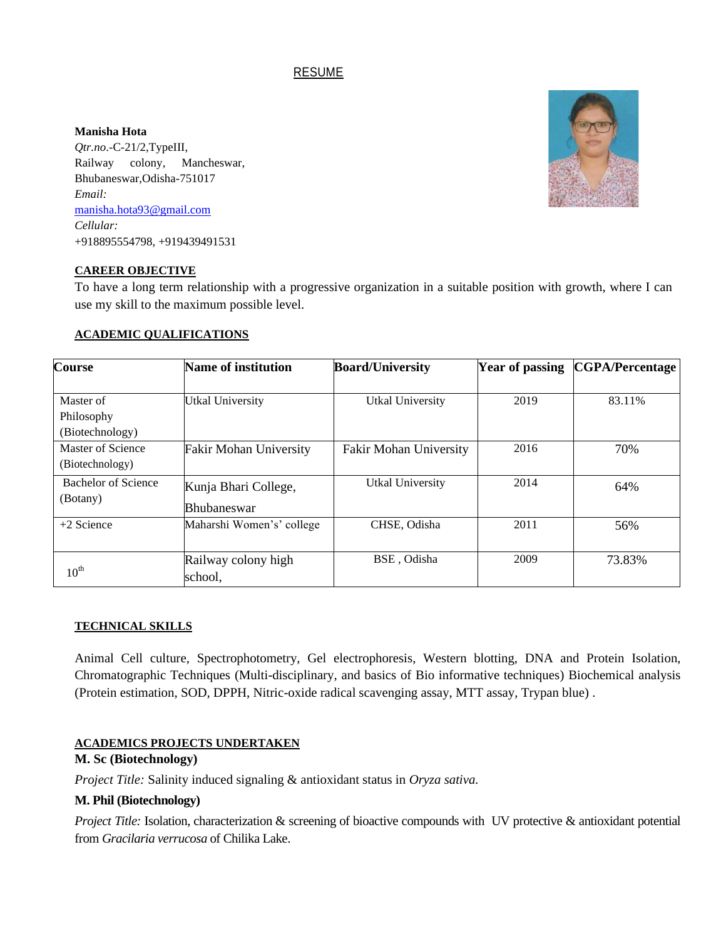# RESUME

#### **Manisha Hota**

*Qtr.no*.-C-21/2,TypeIII, Railway colony, Mancheswar, Bhubaneswar,Odisha-751017 *Email:* [manisha.hota93@gmail.com](mailto:manisha.hota93@gmail.com) *Cellular:* +918895554798, +919439491531



### **CAREER OBJECTIVE**

To have a long term relationship with a progressive organization in a suitable position with growth, where I can use my skill to the maximum possible level.

#### **ACADEMIC QUALIFICATIONS**

| <b>Course</b>                              | Name of institution                        | <b>Board/University</b>       | <b>Year of passing</b> | <b>CGPA/Percentage</b> |
|--------------------------------------------|--------------------------------------------|-------------------------------|------------------------|------------------------|
| Master of<br>Philosophy<br>(Biotechnology) | <b>Utkal University</b>                    | <b>Utkal University</b>       | 2019                   | 83.11%                 |
| Master of Science<br>(Biotechnology)       | <b>Fakir Mohan University</b>              | <b>Fakir Mohan University</b> | 2016                   | 70%                    |
| Bachelor of Science<br>(Botany)            | Kunja Bhari College,<br><b>Bhubaneswar</b> | Utkal University              | 2014                   | 64%                    |
| $+2$ Science                               | Maharshi Women's' college                  | CHSE, Odisha                  | 2011                   | 56%                    |
| $10^{\text{th}}$                           | Railway colony high<br>school,             | BSE, Odisha                   | 2009                   | 73.83%                 |

### **TECHNICAL SKILLS**

Animal Cell culture, Spectrophotometry, Gel electrophoresis, Western blotting, DNA and Protein Isolation, Chromatographic Techniques (Multi-disciplinary, and basics of Bio informative techniques) Biochemical analysis (Protein estimation, SOD, DPPH, Nitric-oxide radical scavenging assay, MTT assay, Trypan blue) .

## **ACADEMICS PROJECTS UNDERTAKEN**

## **M. Sc (Biotechnology)**

*Project Title:* Salinity induced signaling & antioxidant status in *Oryza sativa.*

### **M. Phil (Biotechnology)**

*Project Title:* Isolation, characterization & screening of bioactive compounds with UV protective & antioxidant potential from *Gracilaria verrucosa* of Chilika Lake.